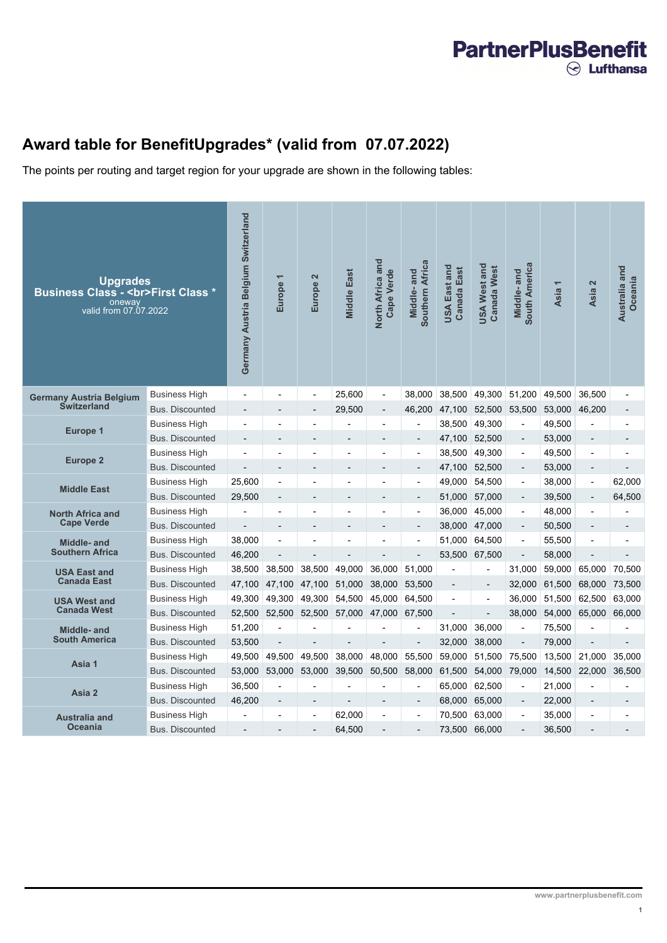## **PartnerPlusBenefit**  $\odot$  Lufthansa

## **Award table for BenefitUpgrades\* (valid from 07.07.2022)**

The points per routing and target region for your upgrade are shown in the following tables:

| <b>Upgrades</b><br><b>Business Class - <br/>First Class *</b><br>oneway<br>valid from 07.07.2022 |                        | Germany Austria Belgium Switzerland | $\overline{\phantom{0}}$<br>Europe | $\overline{\mathbf{c}}$<br>Europe | <b>Middle East</b>       | North Africa and<br><b>Cape Verde</b> | Southern Africa<br>Middle-and | USA East and<br><b>Canada East</b> | <b>USA West and</b><br><b>Canada West</b> | South America<br>Middle-and | <b>Asia</b> | Asia 2                   | Australia and<br>Oceania |
|--------------------------------------------------------------------------------------------------|------------------------|-------------------------------------|------------------------------------|-----------------------------------|--------------------------|---------------------------------------|-------------------------------|------------------------------------|-------------------------------------------|-----------------------------|-------------|--------------------------|--------------------------|
| <b>Germany Austria Belgium</b><br><b>Switzerland</b>                                             | <b>Business High</b>   |                                     |                                    | $\overline{a}$                    | 25,600                   | $\overline{\phantom{a}}$              | 38,000                        | 38,500                             | 49,300                                    | 51,200                      | 49,500      | 36,500                   |                          |
|                                                                                                  | <b>Bus. Discounted</b> |                                     |                                    | $\overline{a}$                    | 29,500                   | $\overline{\phantom{m}}$              | 46,200                        | 47,100                             | 52,500                                    | 53,500                      | 53,000      | 46,200                   | -                        |
| <b>Europe 1</b>                                                                                  | <b>Business High</b>   |                                     |                                    |                                   |                          |                                       |                               | 38,500                             | 49,300                                    | $\overline{a}$              | 49,500      | $\overline{\phantom{a}}$ |                          |
|                                                                                                  | <b>Bus. Discounted</b> | $\qquad \qquad -$                   |                                    | $\overline{a}$                    | $\overline{a}$           | $\overline{\phantom{a}}$              | $\overline{\phantom{a}}$      | 47,100                             | 52,500                                    | $\overline{\phantom{a}}$    | 53,000      | $\overline{\phantom{a}}$ | $\overline{a}$           |
| <b>Europe 2</b>                                                                                  | <b>Business High</b>   |                                     |                                    |                                   |                          |                                       |                               | 38,500                             | 49,300                                    | $\overline{\phantom{a}}$    | 49,500      | $\overline{a}$           |                          |
|                                                                                                  | <b>Bus. Discounted</b> |                                     |                                    | $\overline{a}$                    | $\overline{\phantom{m}}$ | $\overline{\phantom{a}}$              | $\overline{\phantom{a}}$      | 47,100                             | 52,500                                    | $\overline{\phantom{a}}$    | 53,000      | $\overline{\phantom{a}}$ | L,                       |
| <b>Middle East</b>                                                                               | <b>Business High</b>   | 25,600                              |                                    |                                   |                          |                                       |                               | 49,000                             | 54,500                                    | $\blacksquare$              | 38,000      | $\overline{a}$           | 62,000                   |
|                                                                                                  | <b>Bus. Discounted</b> | 29,500                              |                                    | $\overline{a}$                    | $\overline{\phantom{m}}$ | $\overline{\phantom{a}}$              | $\overline{\phantom{m}}$      | 51,000                             | 57,000                                    | $\overline{\phantom{a}}$    | 39,500      | $\overline{\phantom{a}}$ | 64,500                   |
| <b>North Africa and</b>                                                                          | <b>Business High</b>   |                                     |                                    |                                   |                          |                                       |                               | 36,000                             | 45.000                                    | $\overline{\phantom{a}}$    | 48,000      | L,                       |                          |
| <b>Cape Verde</b>                                                                                | <b>Bus. Discounted</b> |                                     |                                    |                                   |                          |                                       | $\overline{a}$                | 38,000                             | 47,000                                    | $\overline{\phantom{a}}$    | 50,500      |                          |                          |
| Middle- and                                                                                      | <b>Business High</b>   | 38,000                              |                                    |                                   |                          |                                       |                               | 51,000                             | 64,500                                    | $\overline{\phantom{a}}$    | 55,500      |                          |                          |
| <b>Southern Africa</b>                                                                           | <b>Bus. Discounted</b> | 46,200                              |                                    |                                   |                          |                                       |                               | 53,500                             | 67,500                                    | $\overline{a}$              | 58,000      |                          |                          |
| <b>USA East and</b>                                                                              | <b>Business High</b>   | 38,500                              | 38,500                             | 38,500                            | 49,000                   | 36,000                                | 51,000                        |                                    |                                           | 31,000                      | 59,000      | 65,000                   | 70,500                   |
| <b>Canada East</b>                                                                               | <b>Bus. Discounted</b> | 47,100                              | 47.100                             | 47.100                            | 51,000                   | 38.000                                | 53.500                        | $\overline{a}$                     | $\overline{\phantom{a}}$                  | 32,000                      | 61,500      | 68,000                   | 73.500                   |
| <b>USA West and</b>                                                                              | <b>Business High</b>   | 49,300                              | 49,300                             | 49,300                            | 54,500                   | 45,000                                | 64,500                        |                                    | $\overline{a}$                            | 36,000                      | 51,500      | 62,500                   | 63,000                   |
| <b>Canada West</b>                                                                               | <b>Bus. Discounted</b> | 52.500                              | 52.500                             | 52,500                            | 57,000                   | 47,000                                | 67,500                        |                                    | $\overline{a}$                            | 38,000                      | 54.000      | 65.000                   | 66,000                   |
| Middle- and                                                                                      | <b>Business High</b>   | 51,200                              |                                    |                                   |                          |                                       |                               | 31,000                             | 36,000                                    | Ĭ.                          | 75,500      |                          |                          |
| <b>South America</b>                                                                             | <b>Bus. Discounted</b> | 53,500                              |                                    |                                   |                          |                                       | $\overline{a}$                | 32,000                             | 38,000                                    | $\overline{\phantom{a}}$    | 79,000      |                          | $\overline{a}$           |
| Asia 1                                                                                           | <b>Business High</b>   | 49,500                              | 49,500                             | 49,500                            | 38,000                   | 48,000                                | 55,500                        | 59,000                             | 51,500                                    | 75,500                      | 13,500      | 21,000                   | 35,000                   |
|                                                                                                  | <b>Bus. Discounted</b> | 53.000                              | 53,000                             | 53,000                            | 39,500                   | 50,500                                | 58,000                        | 61,500                             | 54,000                                    | 79,000                      | 14,500      | 22,000                   | 36.500                   |
| Asia 2                                                                                           | <b>Business High</b>   | 36,500                              |                                    |                                   |                          |                                       |                               | 65,000                             | 62,500                                    | $\overline{a}$              | 21.000      |                          |                          |
|                                                                                                  | <b>Bus. Discounted</b> | 46,200                              |                                    |                                   |                          |                                       | L,                            | 68,000                             | 65,000                                    | $\overline{a}$              | 22,000      |                          |                          |
| <b>Australia and</b>                                                                             | Business High          |                                     |                                    |                                   | 62.000                   | $\overline{a}$                        |                               | 70.500                             | 63.000                                    | $\overline{a}$              | 35,000      |                          |                          |
| <b>Oceania</b>                                                                                   | <b>Bus. Discounted</b> |                                     |                                    |                                   | 64,500                   |                                       |                               | 73,500                             | 66,000                                    |                             | 36,500      |                          |                          |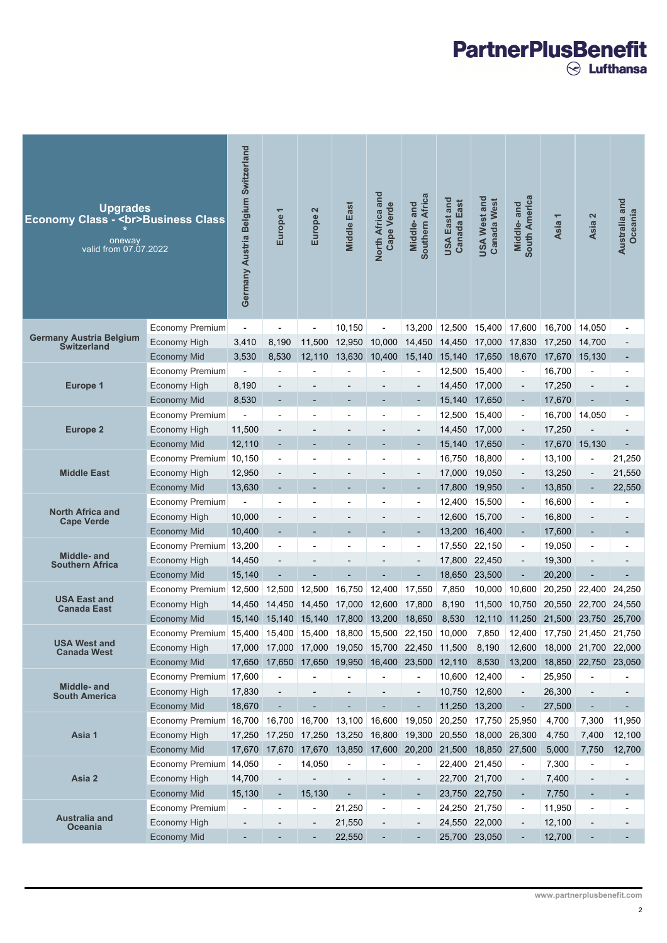## 

| <b>Upgrades</b><br><b>Economy Class - <br/>Business Class</b><br>oneway<br>valid from 07.07.2022 |                        | Germany Austria Belgium Switzerland | ↽<br>Europe          | 2<br>Europe    | <b>Middle East</b>                               | North Africa and<br><b>Cape Verde</b> | Southern Africa<br>and<br>Middle- | USA East and<br><b>Canada East</b> | USA West and<br><b>Canada West</b> | South America<br>Middle-and | $\overline{\phantom{0}}$<br>Asia                                                                                                                                                                                                                                                      | Asia 2                                                                                                                           | Australia and<br>Oceania |
|--------------------------------------------------------------------------------------------------|------------------------|-------------------------------------|----------------------|----------------|--------------------------------------------------|---------------------------------------|-----------------------------------|------------------------------------|------------------------------------|-----------------------------|---------------------------------------------------------------------------------------------------------------------------------------------------------------------------------------------------------------------------------------------------------------------------------------|----------------------------------------------------------------------------------------------------------------------------------|--------------------------|
|                                                                                                  | Economy Premium        |                                     |                      |                | 10,150                                           |                                       | 13,200                            | 12,500                             | 15,400                             | 17,600                      | 16,700                                                                                                                                                                                                                                                                                | 14,050                                                                                                                           |                          |
| <b>Germany Austria Belgium</b><br><b>Switzerland</b>                                             | Economy High           | 3,410                               | 8,190                | 11,500         | 12,950                                           | 10,000                                | 14,450                            | 14,450                             | 17,000                             | 17,830                      | 17,250                                                                                                                                                                                                                                                                                | 14,700                                                                                                                           |                          |
|                                                                                                  | <b>Economy Mid</b>     | 3,530                               | 8,530                | 12,110         | 13,630                                           | 10,400                                | 15,140                            | 15,140                             | 17,650                             | 18,670                      | 17,670                                                                                                                                                                                                                                                                                | 15,130                                                                                                                           |                          |
|                                                                                                  | Economy Premium        |                                     |                      |                |                                                  |                                       |                                   | 12,500                             | 15,400                             | $\overline{\phantom{a}}$    |                                                                                                                                                                                                                                                                                       | $\overline{a}$                                                                                                                   |                          |
| Europe 1                                                                                         | Economy High           | 8,190                               |                      |                |                                                  |                                       |                                   | 14,450                             | 17,000                             | $\overline{a}$              |                                                                                                                                                                                                                                                                                       | $\overline{a}$                                                                                                                   |                          |
|                                                                                                  | <b>Economy Mid</b>     | 8,530                               |                      |                |                                                  |                                       |                                   | 15,140                             | 17,650                             | $\blacksquare$              |                                                                                                                                                                                                                                                                                       | $\overline{a}$                                                                                                                   |                          |
| <b>Europe 2</b>                                                                                  | Economy Premium        |                                     |                      |                |                                                  |                                       |                                   | 12,500                             | 15,400                             | $\overline{\phantom{a}}$    |                                                                                                                                                                                                                                                                                       |                                                                                                                                  |                          |
|                                                                                                  | Economy High           | 11,500                              |                      |                |                                                  |                                       |                                   | 14,450                             | 17,000                             | $\overline{\phantom{0}}$    |                                                                                                                                                                                                                                                                                       |                                                                                                                                  |                          |
| <b>Middle East</b>                                                                               | <b>Economy Mid</b>     | 12,110                              |                      |                |                                                  |                                       |                                   | 15,140                             | 17,650                             | -                           |                                                                                                                                                                                                                                                                                       |                                                                                                                                  |                          |
|                                                                                                  | Economy Premium        | 10,150                              |                      |                |                                                  |                                       |                                   | 16,750                             | 18,800                             | $\overline{\phantom{a}}$    |                                                                                                                                                                                                                                                                                       | $\overline{a}$                                                                                                                   | 21,250                   |
|                                                                                                  | Economy High           | 12,950                              |                      |                |                                                  |                                       |                                   | 17,000                             | 19,050                             | $\overline{\phantom{0}}$    |                                                                                                                                                                                                                                                                                       | $\overline{a}$                                                                                                                   | 21,550                   |
|                                                                                                  | <b>Economy Mid</b>     | 13,630                              |                      |                |                                                  |                                       |                                   | 17,800                             | 19,950                             | ÷                           |                                                                                                                                                                                                                                                                                       | $\overline{a}$                                                                                                                   | 22,550                   |
| North Africa and                                                                                 | Economy Premium        |                                     |                      |                |                                                  |                                       |                                   | 12,400                             | 15,500                             | $\overline{\phantom{a}}$    |                                                                                                                                                                                                                                                                                       |                                                                                                                                  |                          |
| Cape Verde                                                                                       | Economy High           | 10,000                              |                      |                |                                                  |                                       |                                   | 12,600                             | 15,700                             | $\overline{\phantom{0}}$    |                                                                                                                                                                                                                                                                                       |                                                                                                                                  |                          |
|                                                                                                  | <b>Economy Mid</b>     | 10,400                              |                      |                |                                                  |                                       |                                   | 13,200                             | 16,400                             | -                           |                                                                                                                                                                                                                                                                                       |                                                                                                                                  |                          |
| Middle- and                                                                                      | Economy Premium 13,200 |                                     |                      |                |                                                  |                                       |                                   | 17,550                             | 22,150                             | $\overline{\phantom{a}}$    |                                                                                                                                                                                                                                                                                       |                                                                                                                                  |                          |
| <b>Southern Africa</b>                                                                           | Economy High           | 14,450                              |                      |                |                                                  |                                       |                                   | 17,800                             | 22,450                             |                             |                                                                                                                                                                                                                                                                                       |                                                                                                                                  |                          |
|                                                                                                  | <b>Economy Mid</b>     | 15,140                              |                      |                |                                                  |                                       |                                   | 18,650                             | 23,500                             | $\overline{a}$              |                                                                                                                                                                                                                                                                                       |                                                                                                                                  |                          |
| <b>USA East and</b>                                                                              | Economy Premium 12,500 |                                     | 12,500               | 12,500         | 16,750                                           | 12,400                                | 17,550                            | 7,850                              | 10,000                             | 10,600                      |                                                                                                                                                                                                                                                                                       |                                                                                                                                  | 24,250                   |
| <b>Canada East</b>                                                                               | Economy High           | 14,450                              | 14,450               | 14,450         | 17,000                                           | 12,600                                | 17,800                            | 8,190                              | 11,500                             | 10,750                      | 16,700<br>17,250<br>17,670<br>16,700<br>17,250<br>17,670<br>13,100<br>13,250<br>13,850<br>16,600<br>16,800<br>17,600<br>19,050<br>19,300<br>20,200<br>20,250<br>20,550<br>21,500<br>17,750<br>18,000 21,700 22,000<br>18,850<br>25,950<br>26,300<br>27,500<br>4,700<br>4,750<br>5,000 |                                                                                                                                  | 24,550                   |
|                                                                                                  | <b>Economy Mid</b>     | 15,140                              | 15,140               | 15,140         | 17,800                                           | 13,200                                | 18,650                            | 8,530                              | 12,110                             | 11,250                      |                                                                                                                                                                                                                                                                                       | 14,050<br>15,130<br>22,400<br>22,700<br>23,750<br>21,450<br>22,750 23,050<br>7,300<br>7,400<br>7,750<br>$\overline{\phantom{0}}$ | 25,700                   |
| <b>USA West and</b>                                                                              | Economy Premium 15,400 |                                     | 15,400               | 15,400         | 18,800                                           | 15,500 22,150                         |                                   | 10,000                             | 7,850                              | 12,400                      |                                                                                                                                                                                                                                                                                       |                                                                                                                                  | 21,750                   |
| <b>Canada West</b>                                                                               | Economy High           |                                     |                      |                | 17,000 17,000 17,000 19,050 15,700 22,450 11,500 |                                       |                                   |                                    | 8,190                              | 12,600                      |                                                                                                                                                                                                                                                                                       |                                                                                                                                  |                          |
|                                                                                                  | Economy Mid            |                                     | 17,650 17,650 17,650 |                | 19,950                                           |                                       | 16,400 23,500 12,110              |                                    | 8,530                              | 13,200                      |                                                                                                                                                                                                                                                                                       |                                                                                                                                  |                          |
| Middle- and                                                                                      | Economy Premium 17,600 |                                     |                      |                |                                                  |                                       |                                   | 10,600                             | 12,400                             | $\overline{\phantom{a}}$    |                                                                                                                                                                                                                                                                                       |                                                                                                                                  |                          |
| <b>South America</b>                                                                             | Economy High           | 17,830                              |                      |                |                                                  |                                       |                                   | 10,750                             | 12,600                             | $\overline{\phantom{0}}$    |                                                                                                                                                                                                                                                                                       |                                                                                                                                  |                          |
|                                                                                                  | Economy Mid            | 18,670                              |                      |                |                                                  |                                       |                                   | 11,250                             | 13,200                             | $\overline{\phantom{a}}$    |                                                                                                                                                                                                                                                                                       |                                                                                                                                  |                          |
|                                                                                                  | Economy Premium 16,700 |                                     | 16,700               | 16,700         | 13,100                                           | 16,600                                | 19,050                            | 20,250                             | 17,750                             | 25,950                      |                                                                                                                                                                                                                                                                                       |                                                                                                                                  | 11,950                   |
| Asia 1                                                                                           | Economy High           | 17,250                              | 17,250               | 17,250         | 13,250                                           | 16,800                                | 19,300                            | 20,550                             | 18,000                             | 26,300                      |                                                                                                                                                                                                                                                                                       |                                                                                                                                  | 12,100                   |
|                                                                                                  | <b>Economy Mid</b>     | 17,670                              | 17,670               | 17,670         | 13,850                                           |                                       | 17,600 20,200                     | 21,500                             | 18,850                             | 27,500                      |                                                                                                                                                                                                                                                                                       |                                                                                                                                  | 12,700                   |
|                                                                                                  | Economy Premium 14,050 |                                     |                      | 14,050         |                                                  |                                       |                                   | 22,400 21,450                      |                                    | $\overline{\phantom{a}}$    | 7,300                                                                                                                                                                                                                                                                                 |                                                                                                                                  |                          |
| Asia 2                                                                                           | Economy High           | 14,700                              |                      |                |                                                  |                                       |                                   | 22,700 21,700                      |                                    | $\overline{\phantom{0}}$    | 7,400                                                                                                                                                                                                                                                                                 |                                                                                                                                  |                          |
|                                                                                                  | <b>Economy Mid</b>     | 15,130                              |                      | 15,130         |                                                  |                                       |                                   | 23,750 22,750                      |                                    | ٠                           | 7,750                                                                                                                                                                                                                                                                                 |                                                                                                                                  |                          |
| Australia and                                                                                    | <b>Economy Premium</b> |                                     |                      | $\overline{a}$ | 21,250                                           |                                       |                                   |                                    | 24,250 21,750                      | $\overline{\phantom{a}}$    | 11,950                                                                                                                                                                                                                                                                                |                                                                                                                                  |                          |
| <b>Oceania</b>                                                                                   | <b>Economy High</b>    |                                     |                      |                | 21,550                                           |                                       |                                   | 24,550 22,000                      |                                    |                             | 12,100                                                                                                                                                                                                                                                                                |                                                                                                                                  |                          |
|                                                                                                  | <b>Economy Mid</b>     |                                     |                      |                | 22,550                                           |                                       |                                   | 25,700 23,050                      |                                    |                             | 12,700                                                                                                                                                                                                                                                                                |                                                                                                                                  |                          |